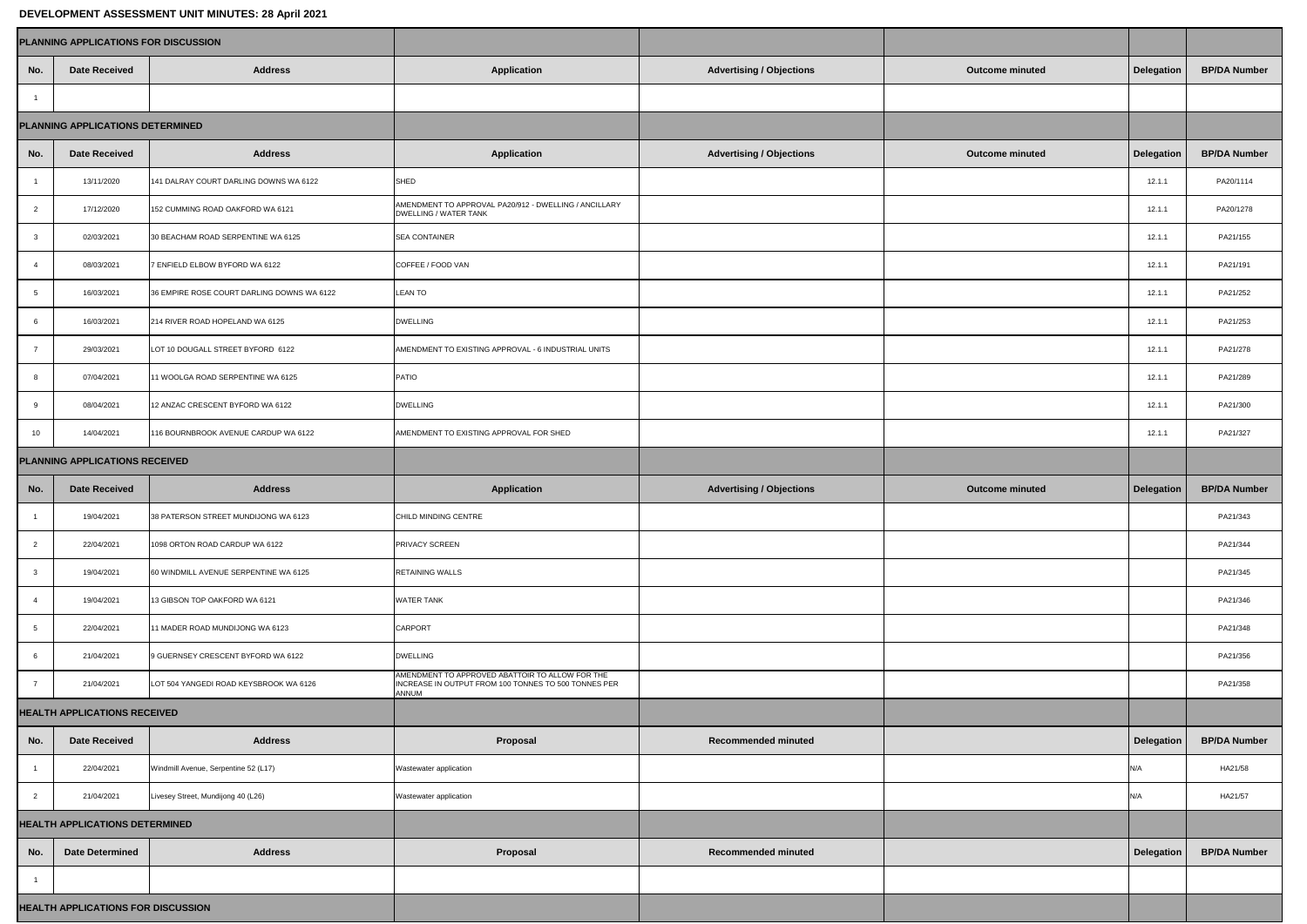| DEVELOPMENT ASSESSMENT UNIT MINUTES: 28 April 2021 |                        |                                            |                                                                                                                         |                                 |                        |                   |                     |  |  |  |  |  |
|----------------------------------------------------|------------------------|--------------------------------------------|-------------------------------------------------------------------------------------------------------------------------|---------------------------------|------------------------|-------------------|---------------------|--|--|--|--|--|
| PLANNING APPLICATIONS FOR DISCUSSION               |                        |                                            |                                                                                                                         |                                 |                        |                   |                     |  |  |  |  |  |
| No.                                                | <b>Date Received</b>   | <b>Address</b>                             | <b>Application</b>                                                                                                      | <b>Advertising / Objections</b> | <b>Outcome minuted</b> | <b>Delegation</b> | <b>BP/DA Number</b> |  |  |  |  |  |
|                                                    |                        |                                            |                                                                                                                         |                                 |                        |                   |                     |  |  |  |  |  |
| PLANNING APPLICATIONS DETERMINED                   |                        |                                            |                                                                                                                         |                                 |                        |                   |                     |  |  |  |  |  |
| No.                                                | <b>Date Received</b>   | <b>Address</b>                             | <b>Application</b>                                                                                                      | <b>Advertising / Objections</b> | <b>Outcome minuted</b> | <b>Delegation</b> | <b>BP/DA Number</b> |  |  |  |  |  |
|                                                    | 13/11/2020             | 141 DALRAY COURT DARLING DOWNS WA 6122     | <b>SHED</b>                                                                                                             |                                 |                        | 12.1.1            | PA20/1114           |  |  |  |  |  |
|                                                    | 17/12/2020             | 152 CUMMING ROAD OAKFORD WA 6121           | AMENDMENT TO APPROVAL PA20/912 - DWELLING / ANCILLARY<br><b>DWELLING / WATER TANK</b>                                   |                                 |                        | 12.1.1            | PA20/1278           |  |  |  |  |  |
|                                                    | 02/03/2021             | 30 BEACHAM ROAD SERPENTINE WA 6125         | <b>SEA CONTAINER</b>                                                                                                    |                                 |                        | 12.1.1            | PA21/155            |  |  |  |  |  |
|                                                    | 08/03/2021             | 7 ENFIELD ELBOW BYFORD WA 6122             | COFFEE / FOOD VAN                                                                                                       |                                 |                        | 12.1.1            | PA21/191            |  |  |  |  |  |
|                                                    | 16/03/2021             | 36 EMPIRE ROSE COURT DARLING DOWNS WA 6122 | <b>LEAN TO</b>                                                                                                          |                                 |                        | 12.1.1            | PA21/252            |  |  |  |  |  |
|                                                    | 16/03/2021             | 214 RIVER ROAD HOPELAND WA 6125            | <b>DWELLING</b>                                                                                                         |                                 |                        | 12.1.1            | PA21/253            |  |  |  |  |  |
|                                                    | 29/03/2021             | LOT 10 DOUGALL STREET BYFORD 6122          | AMENDMENT TO EXISTING APPROVAL - 6 INDUSTRIAL UNITS                                                                     |                                 |                        | 12.1.1            | PA21/278            |  |  |  |  |  |
|                                                    | 07/04/2021             | 11 WOOLGA ROAD SERPENTINE WA 6125          | <b>PATIO</b>                                                                                                            |                                 |                        | 12.1.1            | PA21/289            |  |  |  |  |  |
|                                                    | 08/04/2021             | 12 ANZAC CRESCENT BYFORD WA 6122           | <b>DWELLING</b>                                                                                                         |                                 |                        | 12.1.1            | PA21/300            |  |  |  |  |  |
| 10                                                 | 14/04/2021             | 116 BOURNBROOK AVENUE CARDUP WA 6122       | AMENDMENT TO EXISTING APPROVAL FOR SHED                                                                                 |                                 |                        | 12.1.1            | PA21/327            |  |  |  |  |  |
| PLANNING APPLICATIONS RECEIVED                     |                        |                                            |                                                                                                                         |                                 |                        |                   |                     |  |  |  |  |  |
| No.                                                | <b>Date Received</b>   | <b>Address</b>                             | <b>Application</b>                                                                                                      | <b>Advertising / Objections</b> | <b>Outcome minuted</b> | <b>Delegation</b> | <b>BP/DA Number</b> |  |  |  |  |  |
|                                                    | 19/04/2021             | 38 PATERSON STREET MUNDIJONG WA 6123       | CHILD MINDING CENTRE                                                                                                    |                                 |                        |                   | PA21/343            |  |  |  |  |  |
| $\overline{2}$                                     | 22/04/2021             | 1098 ORTON ROAD CARDUP WA 6122             | <b>PRIVACY SCREEN</b>                                                                                                   |                                 |                        |                   | PA21/344            |  |  |  |  |  |
|                                                    | 19/04/2021             | 60 WINDMILL AVENUE SERPENTINE WA 6125      | <b>RETAINING WALLS</b>                                                                                                  |                                 |                        |                   | PA21/345            |  |  |  |  |  |
| 4                                                  | 19/04/2021             | 13 GIBSON TOP OAKFORD WA 6121              | <b>WATER TANK</b>                                                                                                       |                                 |                        |                   | PA21/346            |  |  |  |  |  |
| $5\overline{)}$                                    | 22/04/2021             | 11 MADER ROAD MUNDIJONG WA 6123            | <b>CARPORT</b>                                                                                                          |                                 |                        |                   | PA21/348            |  |  |  |  |  |
|                                                    | 21/04/2021             | 9 GUERNSEY CRESCENT BYFORD WA 6122         | <b>DWELLING</b>                                                                                                         |                                 |                        |                   | PA21/356            |  |  |  |  |  |
|                                                    | 21/04/2021             | LOT 504 YANGEDI ROAD KEYSBROOK WA 6126     | AMENDMENT TO APPROVED ABATTOIR TO ALLOW FOR THE<br>INCREASE IN OUTPUT FROM 100 TONNES TO 500 TONNES PER<br><b>ANNUM</b> |                                 |                        |                   | PA21/358            |  |  |  |  |  |
| <b>HEALTH APPLICATIONS RECEIVED</b>                |                        |                                            |                                                                                                                         |                                 |                        |                   |                     |  |  |  |  |  |
| No.                                                | <b>Date Received</b>   | <b>Address</b>                             | Proposal                                                                                                                | <b>Recommended minuted</b>      |                        | <b>Delegation</b> | <b>BP/DA Number</b> |  |  |  |  |  |
|                                                    | 22/04/2021             | Windmill Avenue, Serpentine 52 (L17)       | Wastewater application                                                                                                  |                                 |                        | N/A               | HA21/58             |  |  |  |  |  |
| $\overline{2}$                                     | 21/04/2021             | Livesey Street, Mundijong 40 (L26)         | Wastewater application                                                                                                  |                                 |                        | N/A               | HA21/57             |  |  |  |  |  |
| <b>HEALTH APPLICATIONS DETERMINED</b>              |                        |                                            |                                                                                                                         |                                 |                        |                   |                     |  |  |  |  |  |
| No.                                                | <b>Date Determined</b> | <b>Address</b>                             | Proposal                                                                                                                | <b>Recommended minuted</b>      |                        | <b>Delegation</b> | <b>BP/DA Number</b> |  |  |  |  |  |
|                                                    |                        |                                            |                                                                                                                         |                                 |                        |                   |                     |  |  |  |  |  |
|                                                    |                        |                                            |                                                                                                                         |                                 |                        |                   |                     |  |  |  |  |  |